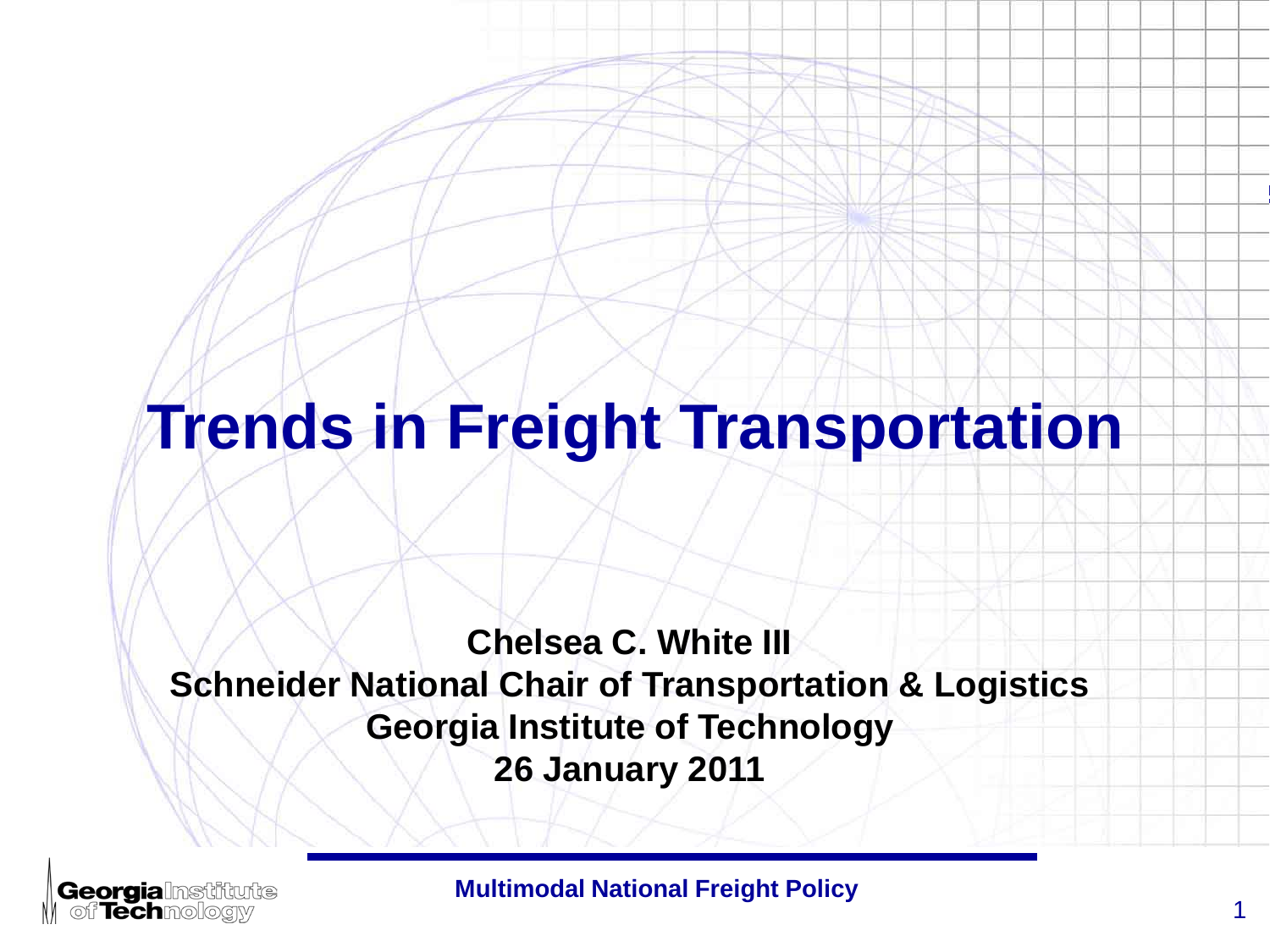#### **Trends in Freight Transportation**

**Chelsea C. White III Schneider National Chair of Transportation & Logistics Georgia Institute of Technology 26 January 2011**

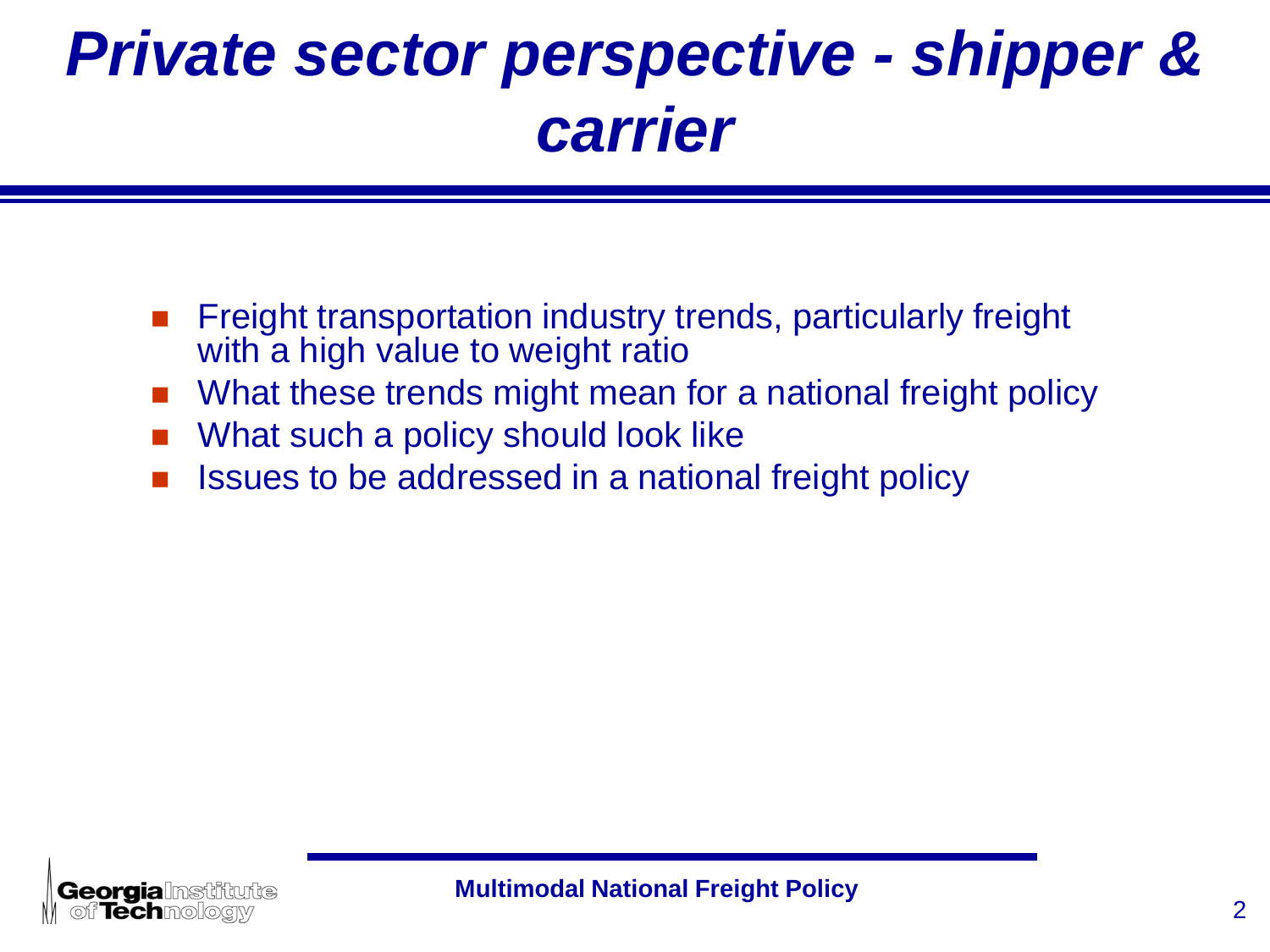### *Private sector perspective - shipper & carrier*

- Freight transportation industry trends, particularly freight with a high value to weight ratio
- What these trends might mean for a national freight policy
- What such a policy should look like
- Issues to be addressed in a national freight policy

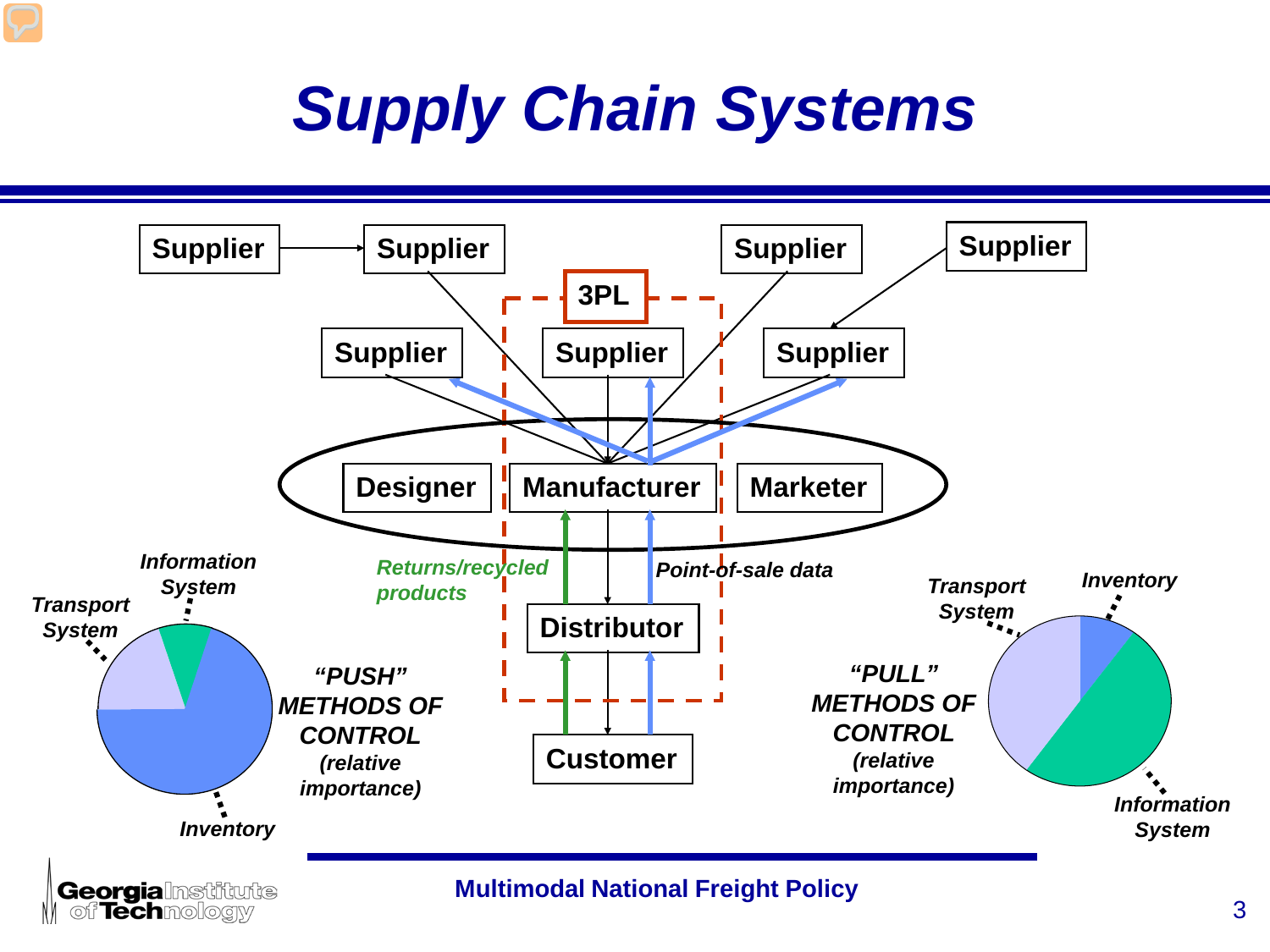## *Supply Chain Systems*



of **Tech** mology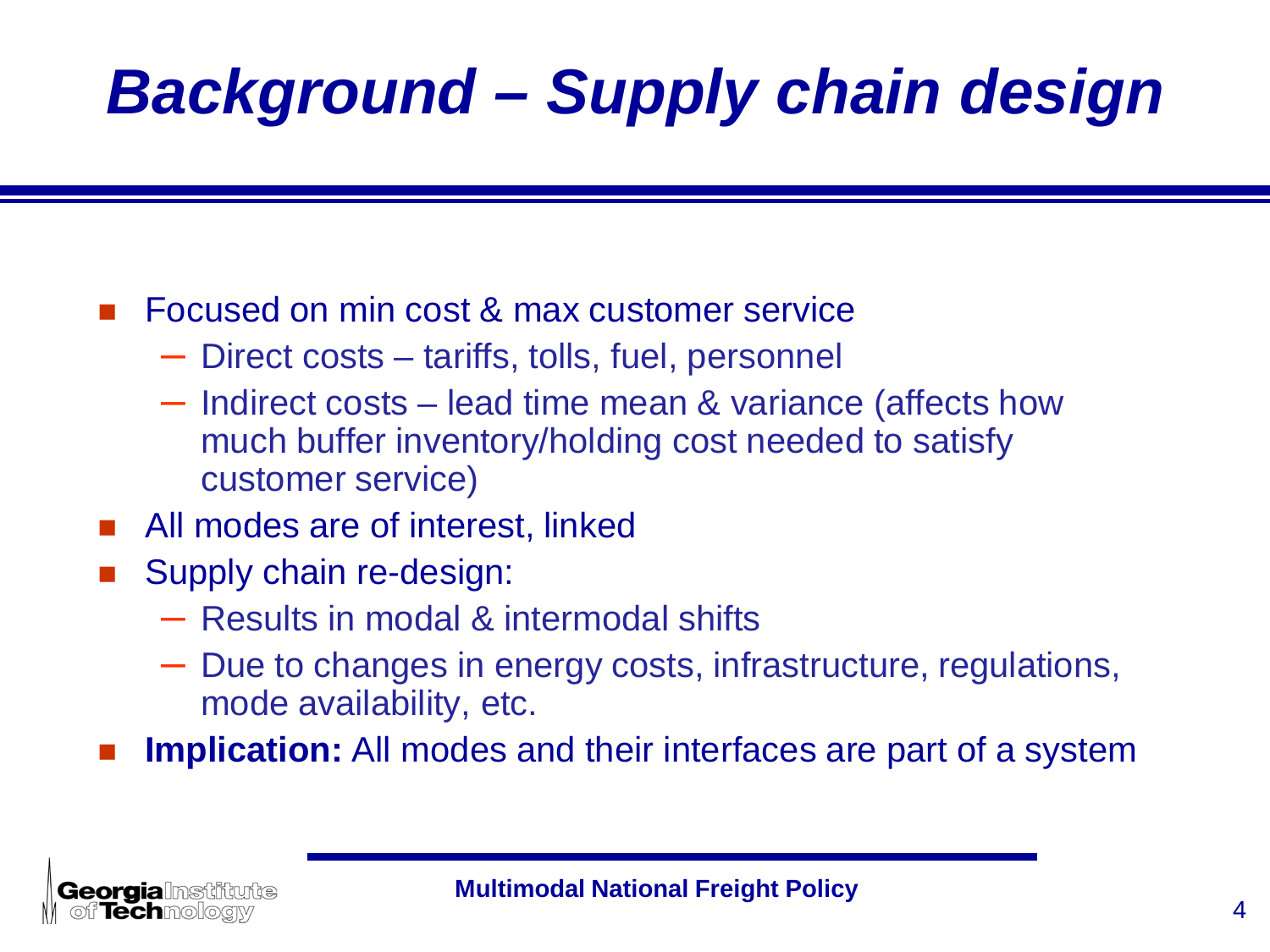# *Background – Supply chain design*

#### Focused on min cost & max customer service

- Direct costs tariffs, tolls, fuel, personnel
- Indirect costs lead time mean & variance (affects how much buffer inventory/holding cost needed to satisfy customer service)
- All modes are of interest, linked
- Supply chain re-design:
	- Results in modal & intermodal shifts
	- Due to changes in energy costs, infrastructure, regulations, mode availability, etc.
- **Implication:** All modes and their interfaces are part of a system

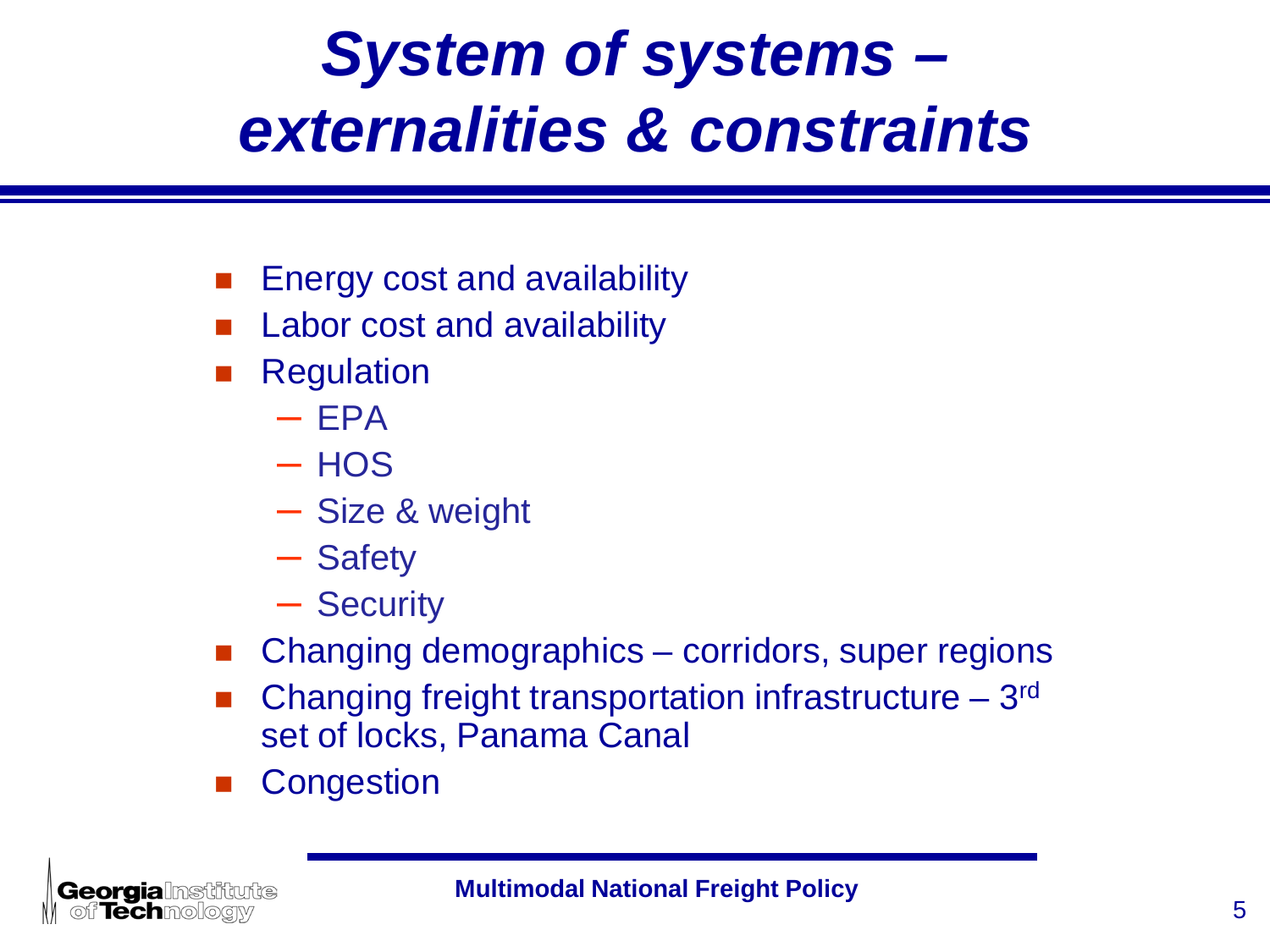## *System of systems – externalities & constraints*

- Energy cost and availability
- Labor cost and availability
- Regulation
	- $-$  EPA
	- $-$  HOS
	- Size & weight
	- Safety
	- Security
- Changing demographics corridors, super regions
- Changing freight transportation infrastructure 3rd set of locks, Panama Canal
- **Congestion**

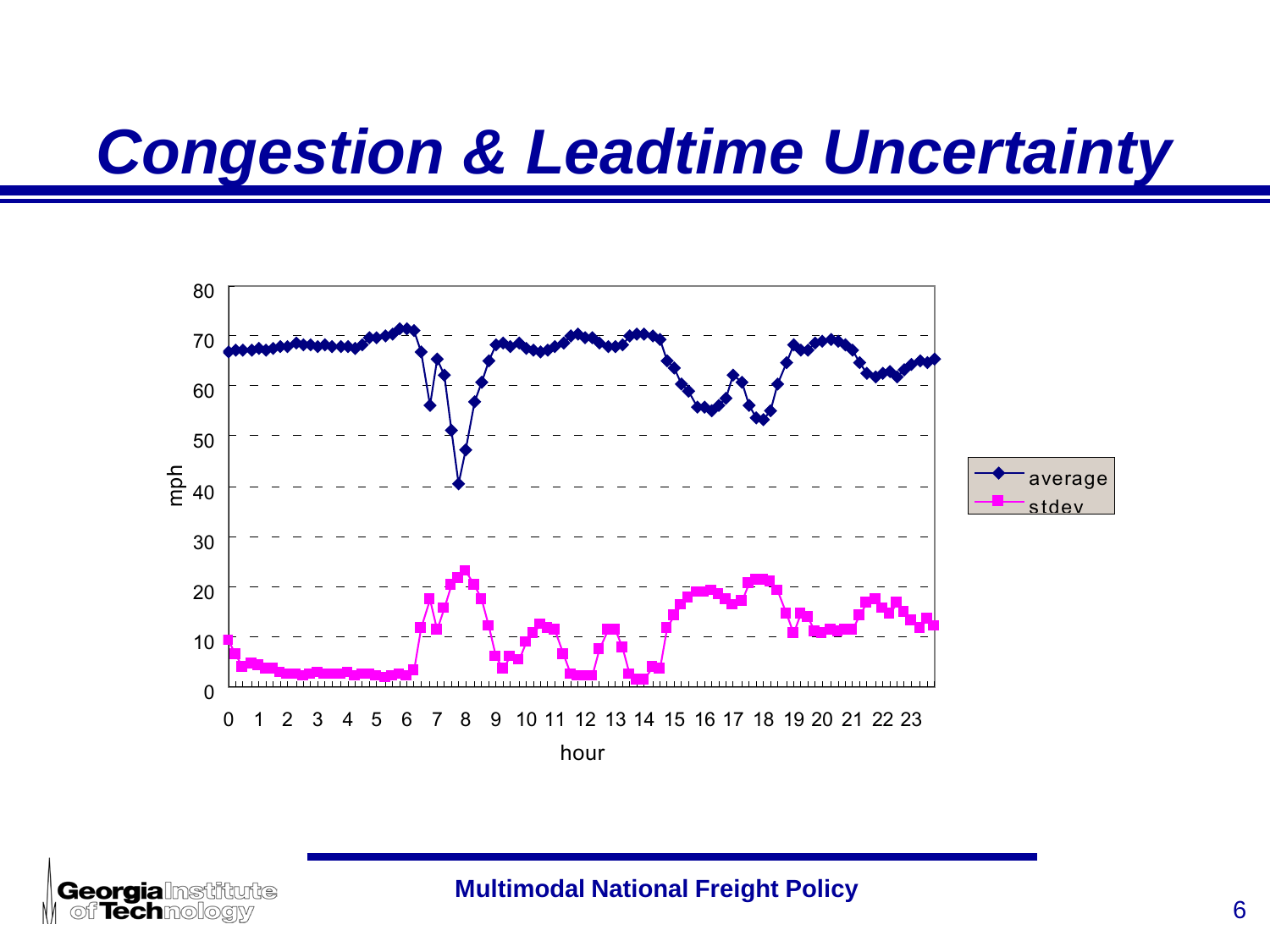### *Congestion & Leadtime Uncertainty*



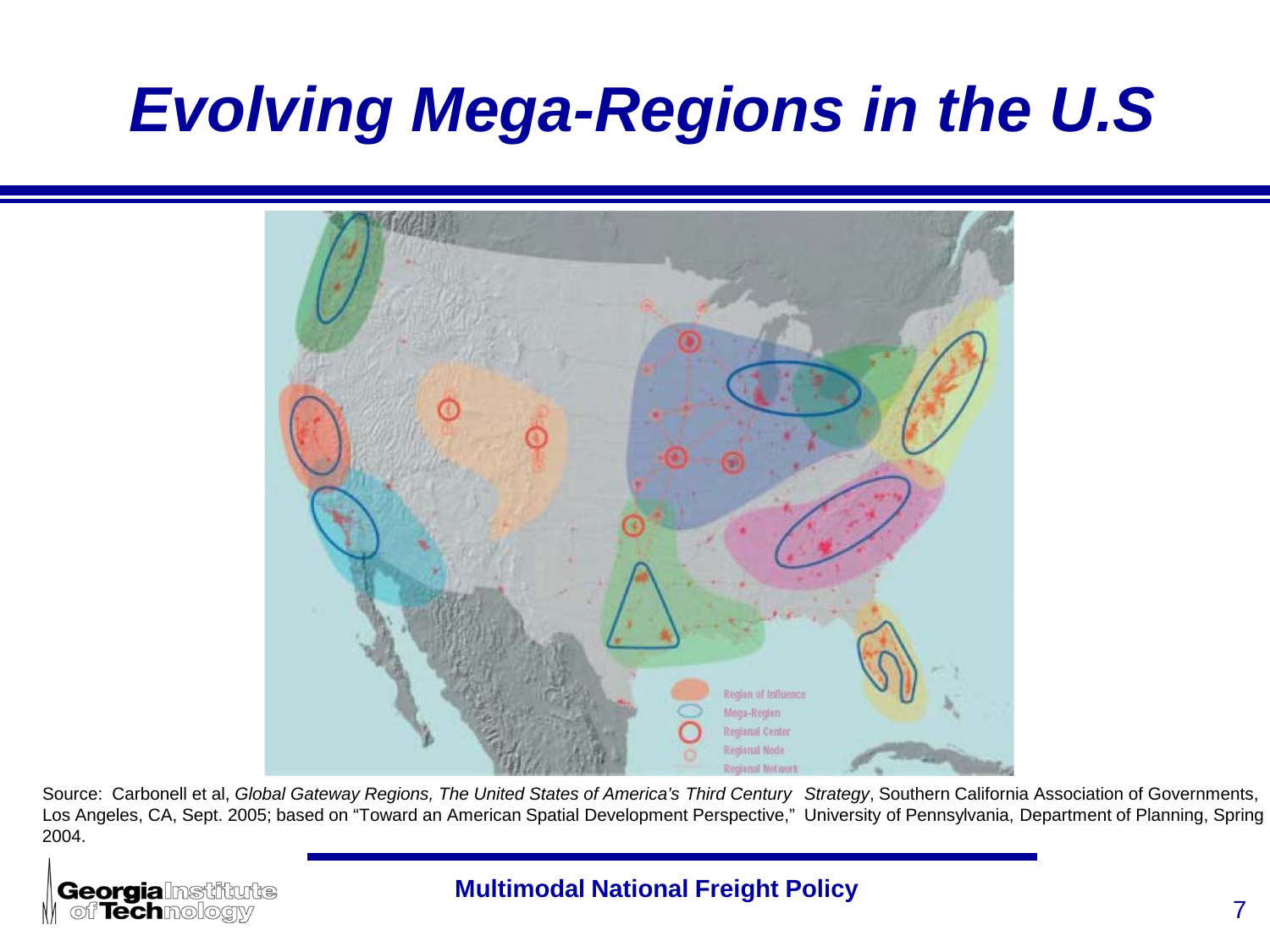### *Evolving Mega-Regions in the U.S*



Source: Carbonell et al, *Global Gateway Regions, The United States of America's Third Century Strategy*, Southern California Association of Governments, Los Angeles, CA, Sept. 2005; based on "Toward an American Spatial Development Perspective," University of Pennsylvania, Department of Planning, Spring 2004.

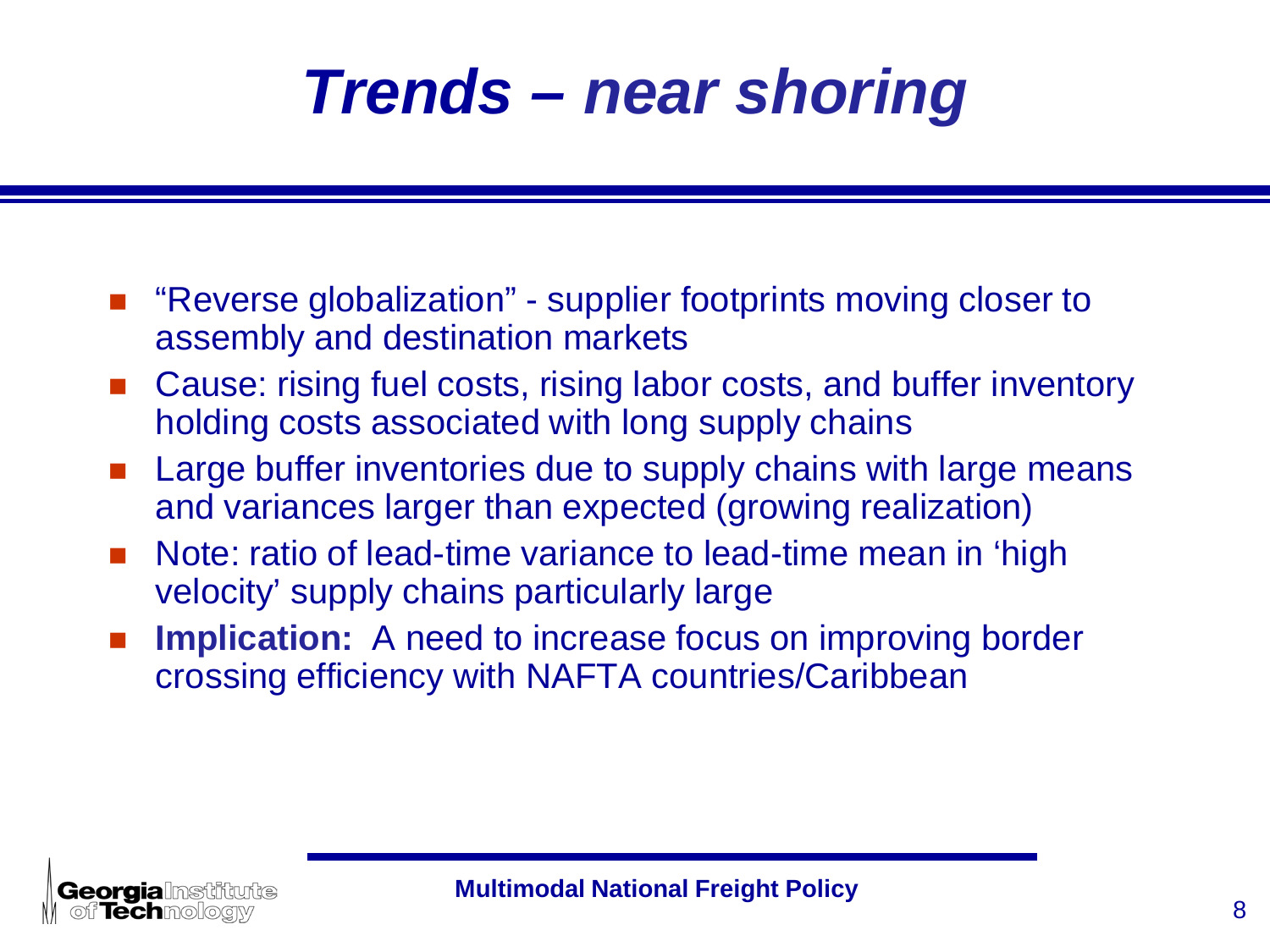## *Trends – near shoring*

- "Reverse globalization" supplier footprints moving closer to assembly and destination markets
- Cause: rising fuel costs, rising labor costs, and buffer inventory holding costs associated with long supply chains
- Large buffer inventories due to supply chains with large means and variances larger than expected (growing realization)
- Note: ratio of lead-time variance to lead-time mean in 'high velocity' supply chains particularly large
- **Implication:** A need to increase focus on improving border crossing efficiency with NAFTA countries/Caribbean

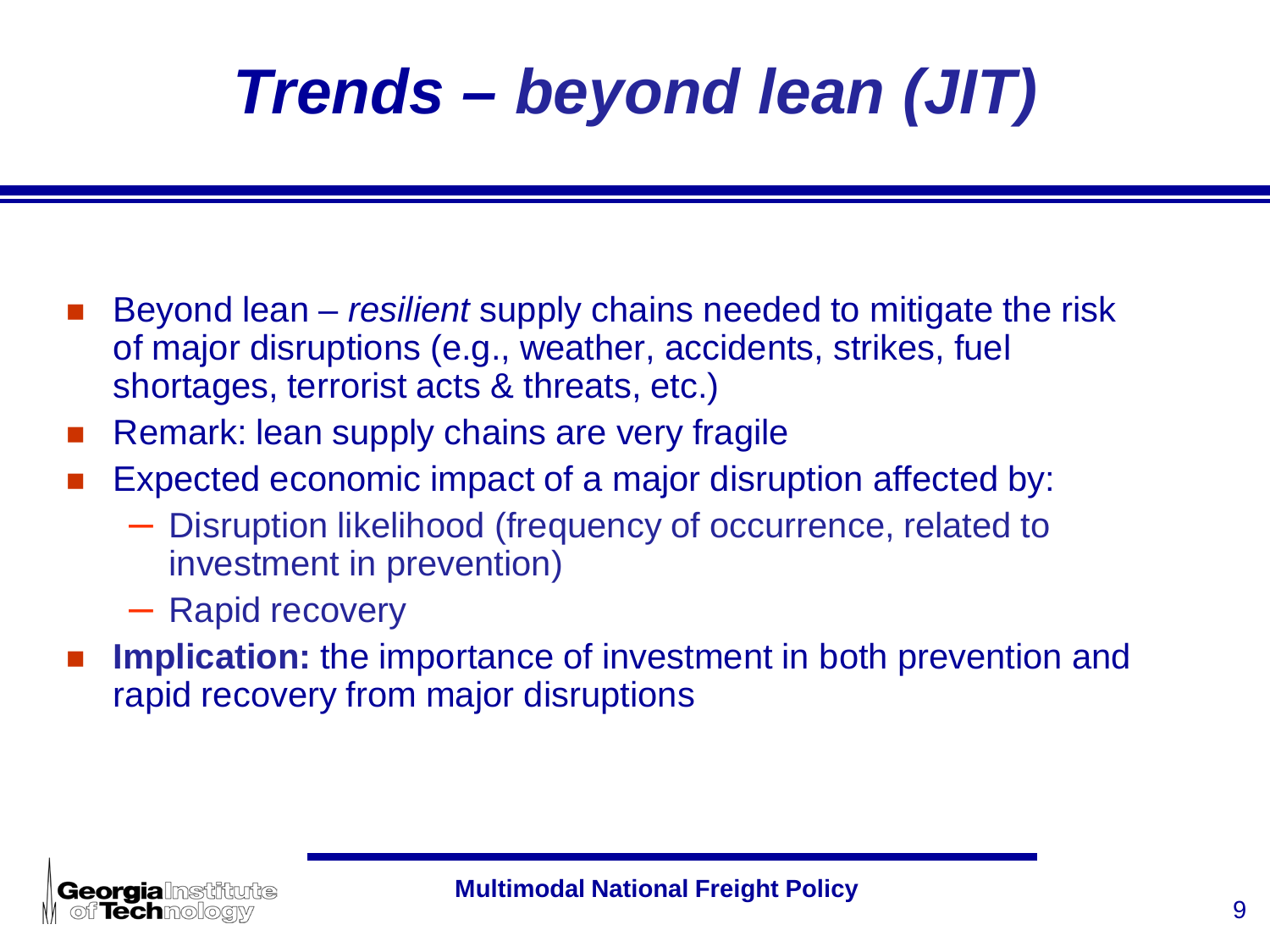# *Trends – beyond lean (JIT)*

- Beyond lean *resilient* supply chains needed to mitigate the risk of major disruptions (e.g., weather, accidents, strikes, fuel shortages, terrorist acts & threats, etc.)
- Remark: lean supply chains are very fragile
- Expected economic impact of a major disruption affected by:
	- Disruption likelihood (frequency of occurrence, related to investment in prevention)
	- Rapid recovery
- **Implication:** the importance of investment in both prevention and rapid recovery from major disruptions

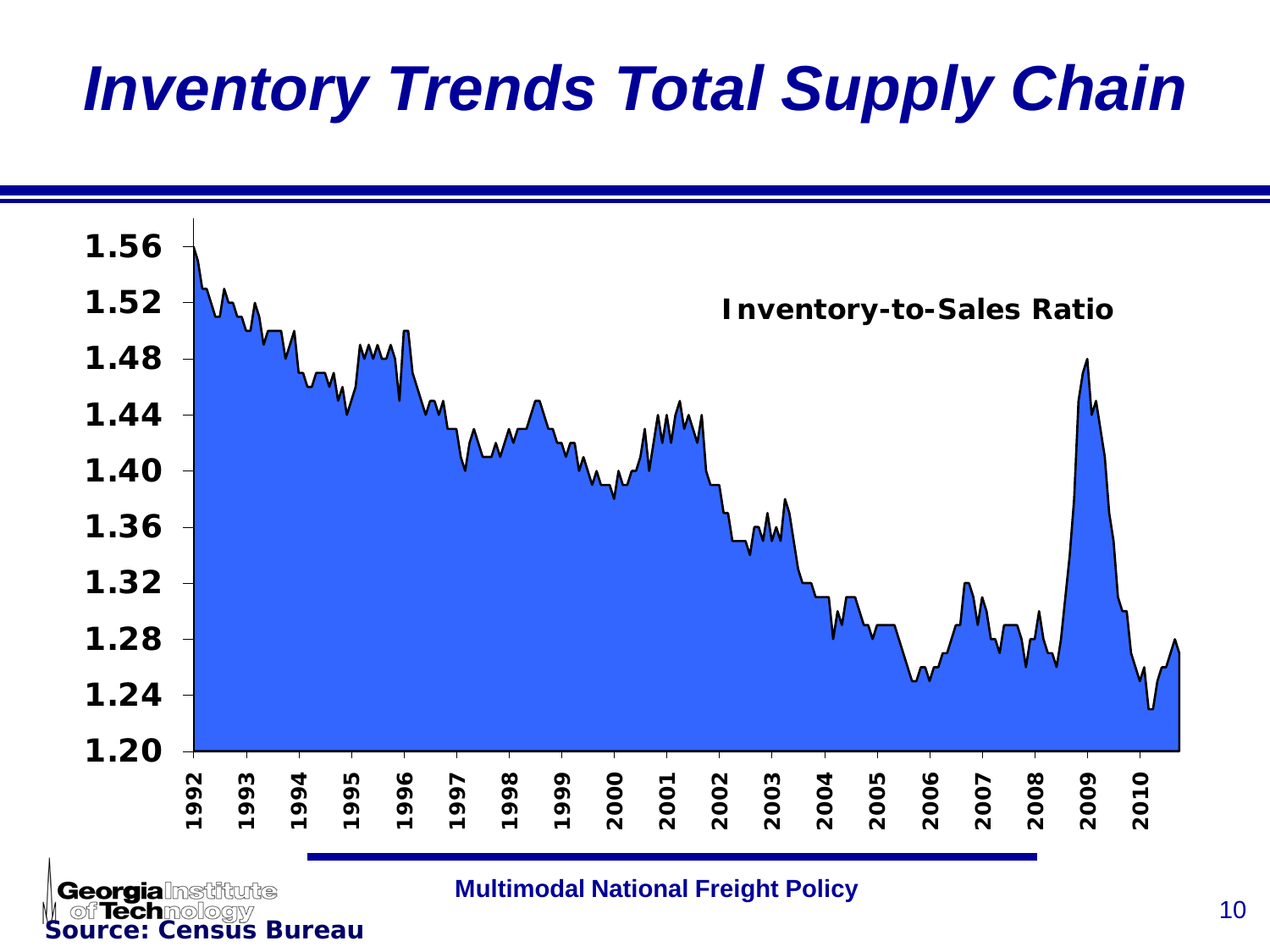## *Inventory Trends Total Supply Chain*



<sup>10</sup> **Multimodal National Freight Policy**

**Source: Census Bureau** 

tunte

**Georgia**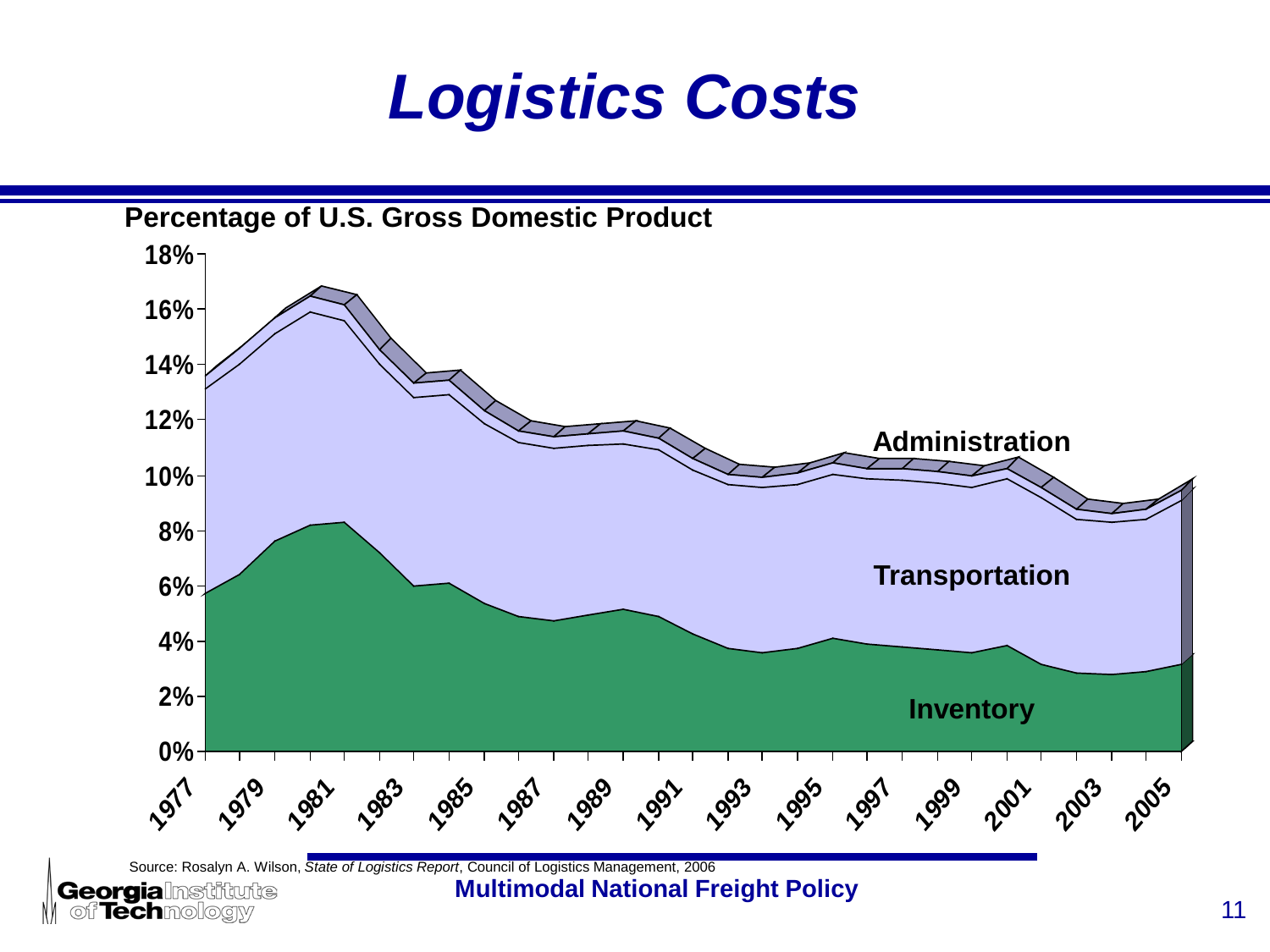### *Logistics Costs*

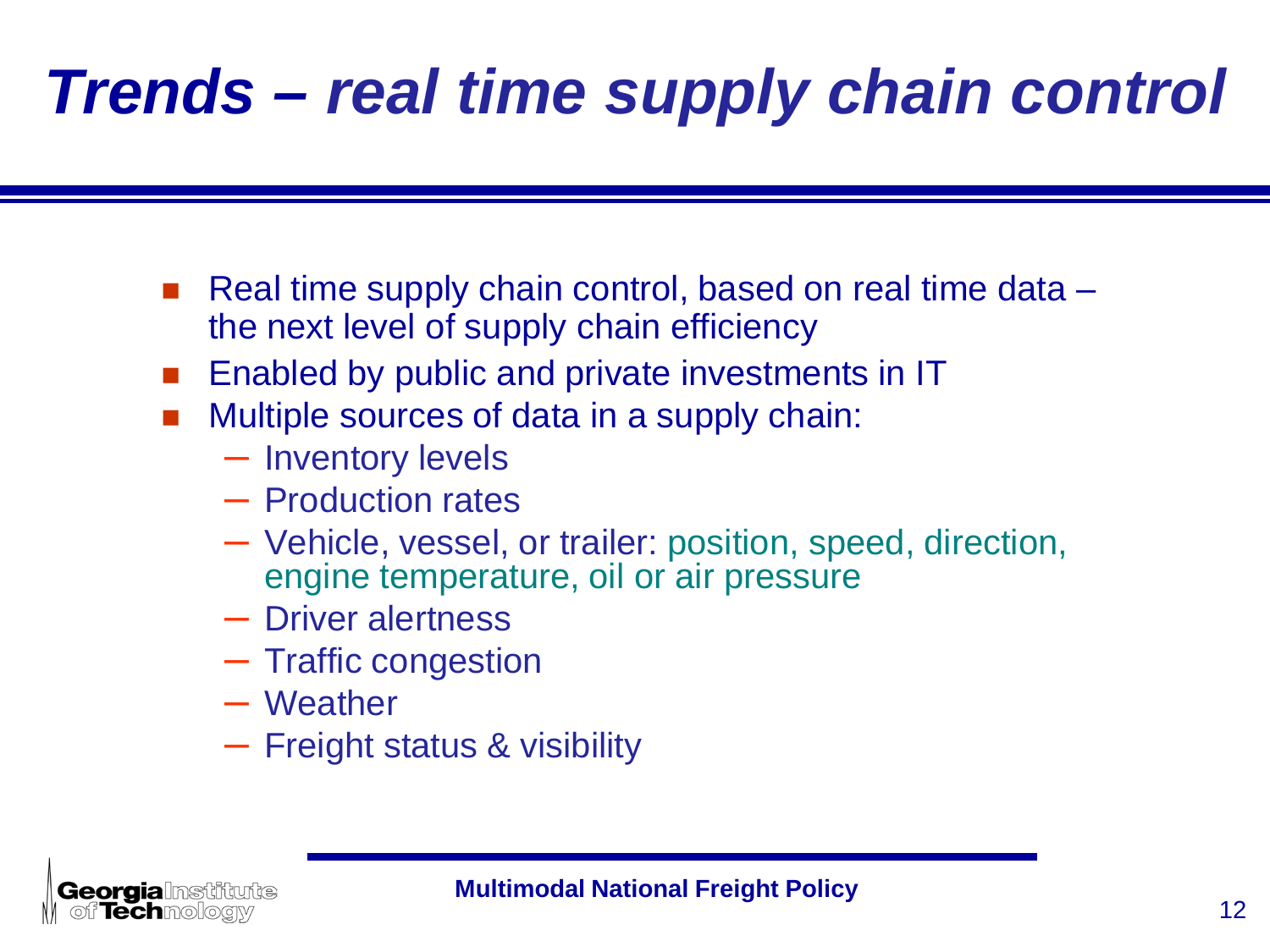# *Trends – real time supply chain control*

- Real time supply chain control, based on real time data the next level of supply chain efficiency
- Enabled by public and private investments in IT
- Multiple sources of data in a supply chain:
	- Inventory levels
	- Production rates
	- Vehicle, vessel, or trailer: position, speed, direction, engine temperature, oil or air pressure
	- Driver alertness
	- Traffic congestion
	- Weather
	- Freight status & visibility

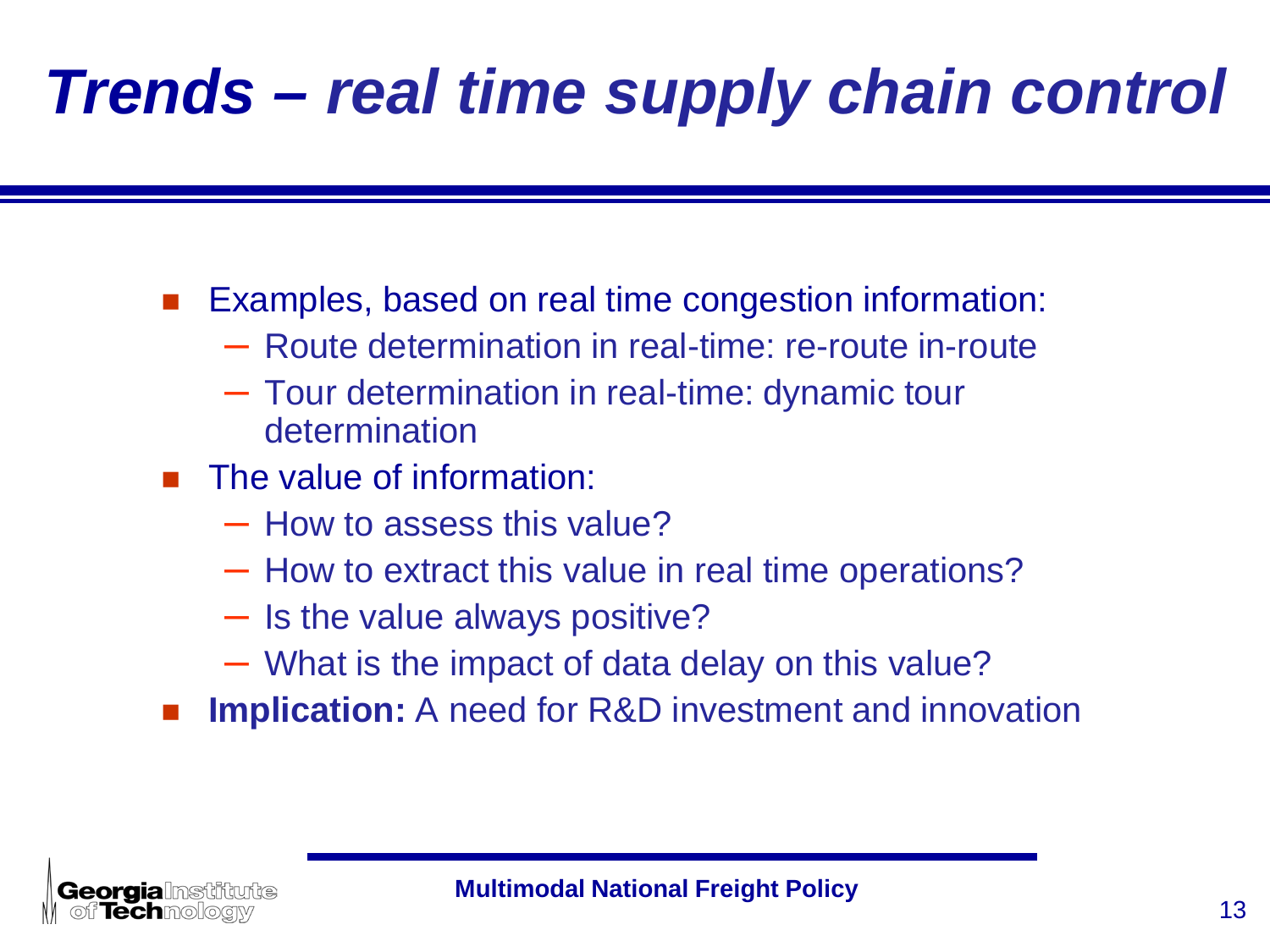# *Trends – real time supply chain control*

■ Examples, based on real time congestion information:

- Route determination in real-time: re-route in-route
- Tour determination in real-time: dynamic tour determination
- **The value of information:** 
	- How to assess this value?
	- How to extract this value in real time operations?
	- Is the value always positive?
	- What is the impact of data delay on this value?
- **Implication:** A need for R&D investment and innovation

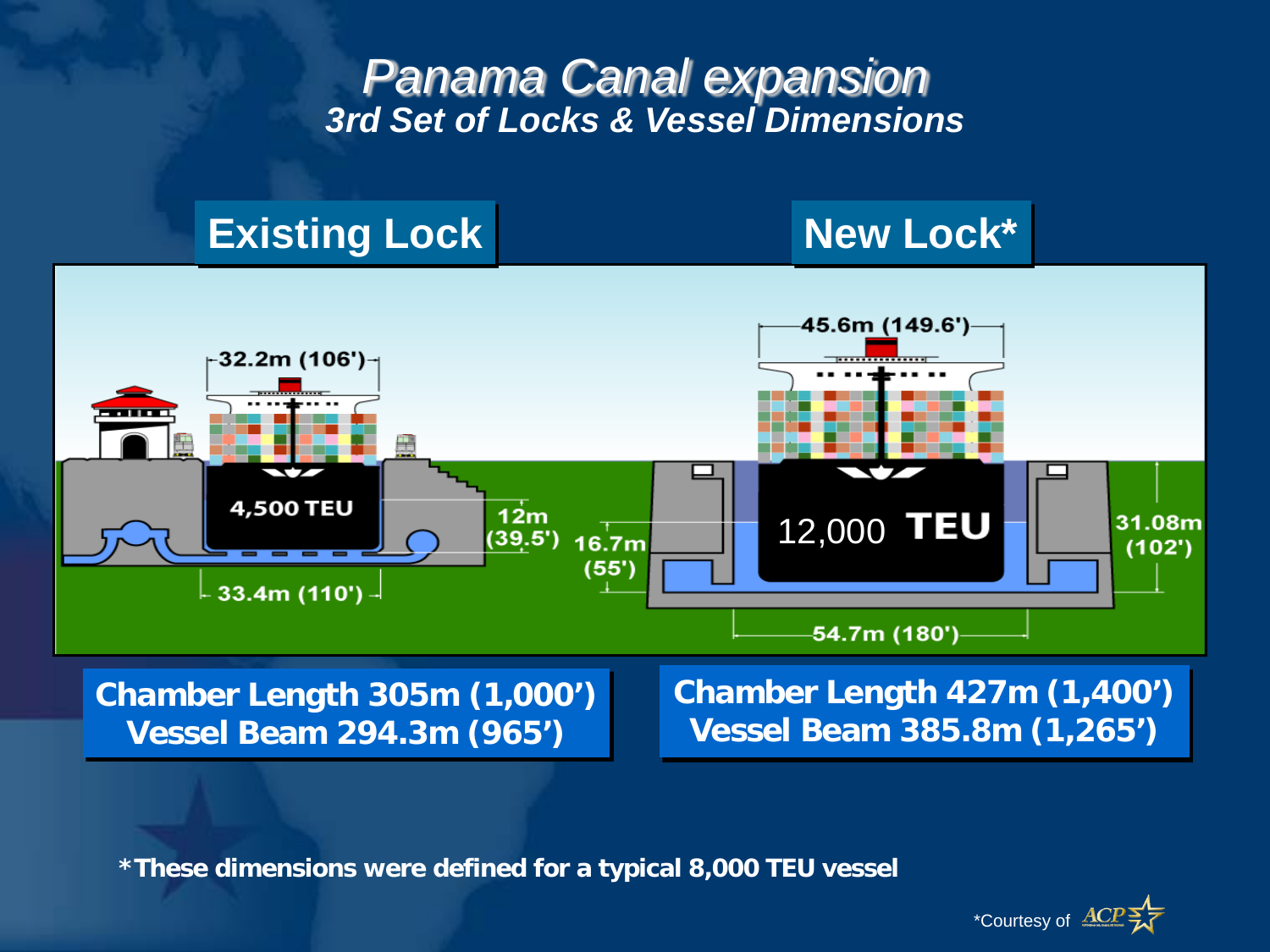#### *Panama Canal expansion 3rd Set of Locks & Vessel Dimensions*

#### **Existing Lock New Lock\***





**Vessel Beam 294.3m (965')**

**Vessel Beam 385.8m (1,265')**

**\*These dimensions were defined for a typical 8,000 TEU vessel**

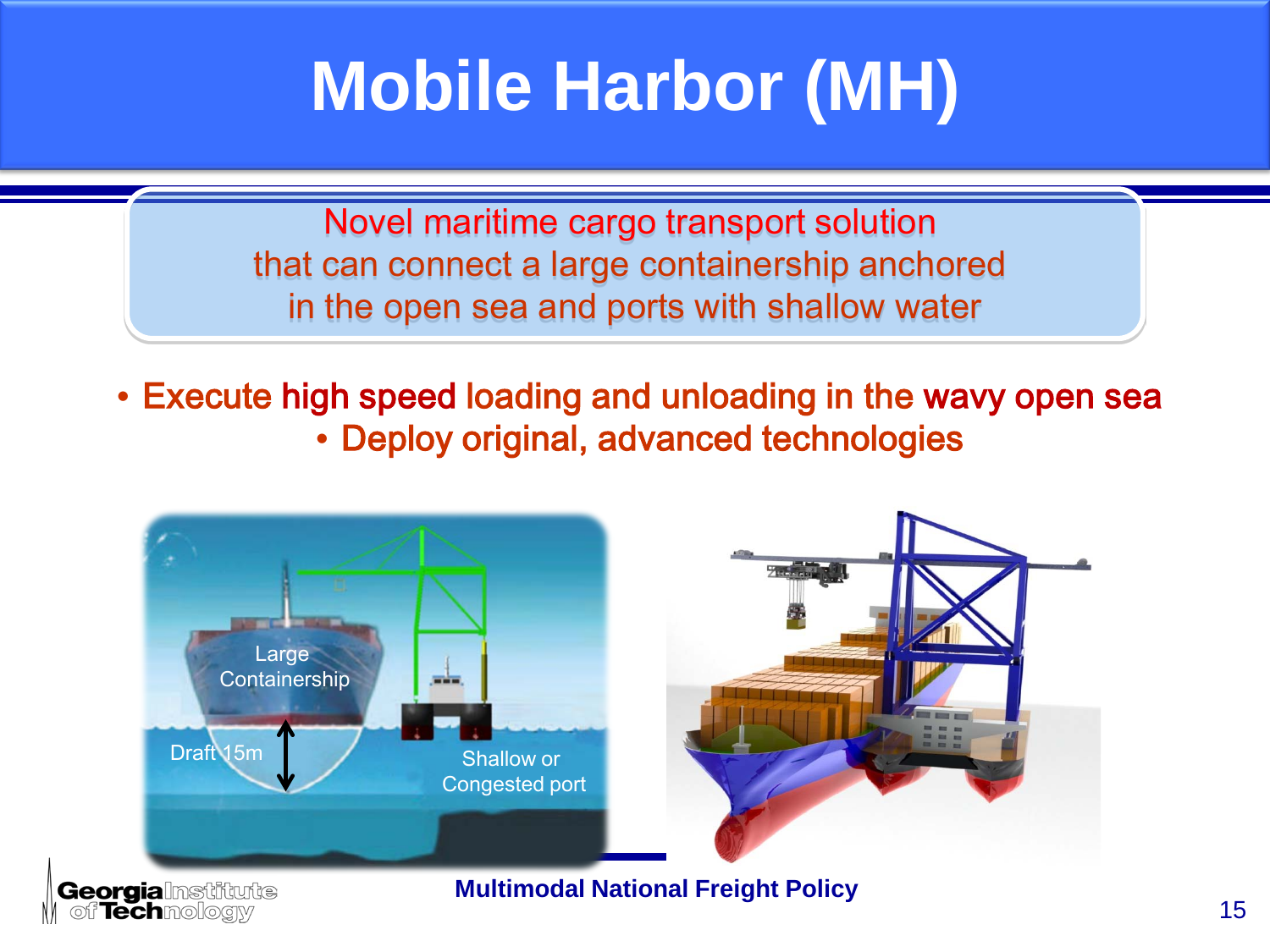# **Mobile Harbor (MH)**

Novel maritime cargo transport solution that can connect a large containership anchored in the open sea and ports with shallow water

• Execute high speed loading and unloading in the wavy open sea • Deploy original, advanced technologies